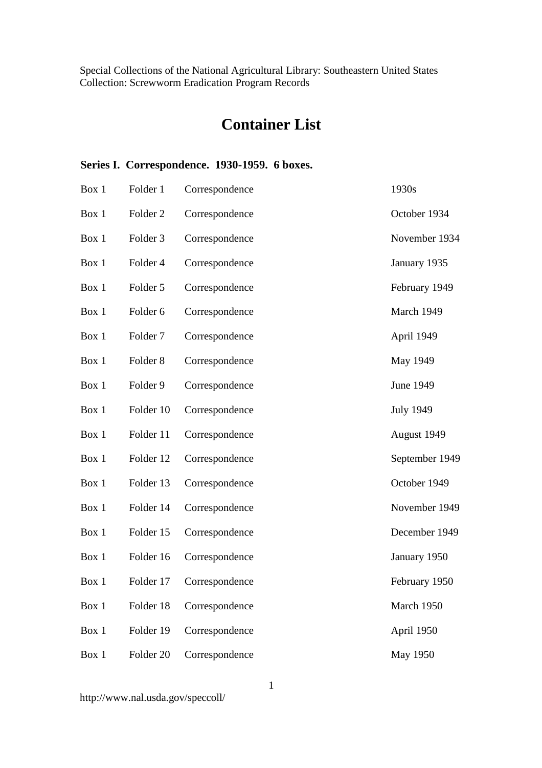# **Container List**

## **Series I. Correspondence. 1930-1959. 6 boxes.**

| Box 1 | Folder 1             | Correspondence | 1930s            |
|-------|----------------------|----------------|------------------|
| Box 1 | Folder <sub>2</sub>  | Correspondence | October 1934     |
| Box 1 | Folder 3             | Correspondence | November 1934    |
| Box 1 | Folder 4             | Correspondence | January 1935     |
| Box 1 | Folder 5             | Correspondence | February 1949    |
| Box 1 | Folder 6             | Correspondence | March 1949       |
| Box 1 | Folder <sub>7</sub>  | Correspondence | April 1949       |
| Box 1 | Folder <sub>8</sub>  | Correspondence | May 1949         |
| Box 1 | Folder 9             | Correspondence | June 1949        |
| Box 1 | Folder 10            | Correspondence | <b>July 1949</b> |
| Box 1 | Folder 11            | Correspondence | August 1949      |
| Box 1 | Folder 12            | Correspondence | September 1949   |
| Box 1 | Folder 13            | Correspondence | October 1949     |
| Box 1 | Folder 14            | Correspondence | November 1949    |
| Box 1 | Folder 15            | Correspondence | December 1949    |
| Box 1 | Folder 16            | Correspondence | January 1950     |
| Box 1 | Folder 17            | Correspondence | February 1950    |
| Box 1 | Folder 18            | Correspondence | March 1950       |
| Box 1 | Folder 19            | Correspondence | April 1950       |
| Box 1 | Folder <sub>20</sub> | Correspondence | <b>May 1950</b>  |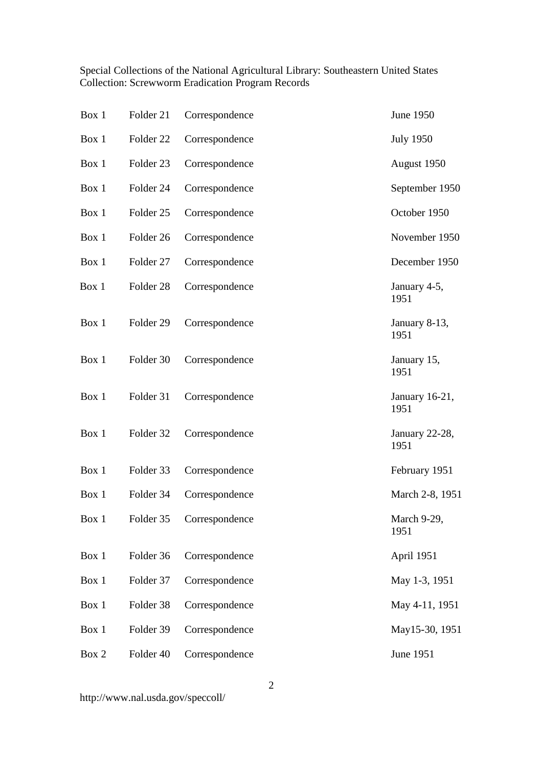| Box 1 | Folder 21            | Correspondence | June 1950              |
|-------|----------------------|----------------|------------------------|
| Box 1 | Folder <sub>22</sub> | Correspondence | <b>July 1950</b>       |
| Box 1 | Folder <sub>23</sub> | Correspondence | August 1950            |
| Box 1 | Folder 24            | Correspondence | September 1950         |
| Box 1 | Folder <sub>25</sub> | Correspondence | October 1950           |
| Box 1 | Folder 26            | Correspondence | November 1950          |
| Box 1 | Folder 27            | Correspondence | December 1950          |
| Box 1 | Folder <sub>28</sub> | Correspondence | January 4-5,<br>1951   |
| Box 1 | Folder 29            | Correspondence | January 8-13,<br>1951  |
| Box 1 | Folder 30            | Correspondence | January 15,<br>1951    |
| Box 1 | Folder 31            | Correspondence | January 16-21,<br>1951 |
| Box 1 | Folder 32            | Correspondence | January 22-28,<br>1951 |
| Box 1 | Folder 33            | Correspondence | February 1951          |
| Box 1 | Folder 34            | Correspondence | March 2-8, 1951        |
| Box 1 | Folder 35            | Correspondence | March 9-29,<br>1951    |
| Box 1 | Folder 36            | Correspondence | April 1951             |
| Box 1 | Folder 37            | Correspondence | May 1-3, 1951          |
| Box 1 | Folder 38            | Correspondence | May 4-11, 1951         |
| Box 1 | Folder 39            | Correspondence | May15-30, 1951         |
| Box 2 | Folder 40            | Correspondence | June 1951              |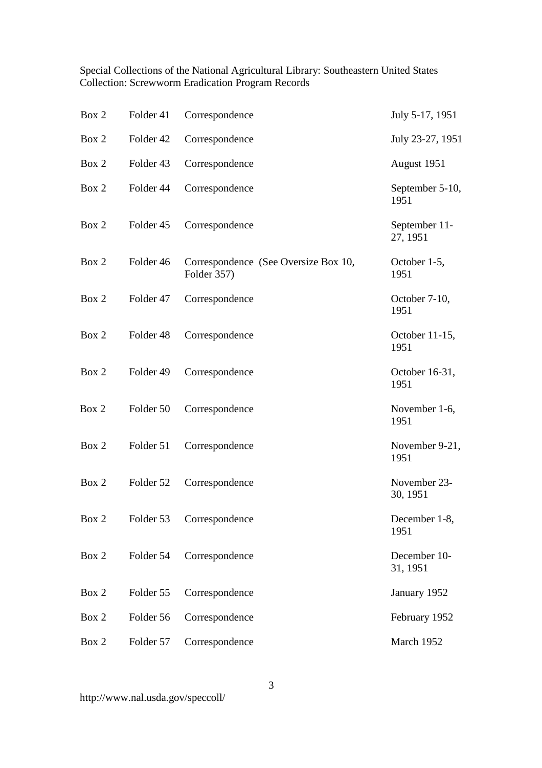| Box 2 | Folder 41 | Correspondence                                      | July 5-17, 1951           |
|-------|-----------|-----------------------------------------------------|---------------------------|
| Box 2 | Folder 42 | Correspondence                                      | July 23-27, 1951          |
| Box 2 | Folder 43 | Correspondence                                      | August 1951               |
| Box 2 | Folder 44 | Correspondence                                      | September 5-10,<br>1951   |
| Box 2 | Folder 45 | Correspondence                                      | September 11-<br>27, 1951 |
| Box 2 | Folder 46 | Correspondence (See Oversize Box 10,<br>Folder 357) | October 1-5,<br>1951      |
| Box 2 | Folder 47 | Correspondence                                      | October 7-10,<br>1951     |
| Box 2 | Folder 48 | Correspondence                                      | October 11-15,<br>1951    |
| Box 2 | Folder 49 | Correspondence                                      | October 16-31,<br>1951    |
| Box 2 | Folder 50 | Correspondence                                      | November 1-6,<br>1951     |
| Box 2 | Folder 51 | Correspondence                                      | November 9-21,<br>1951    |
| Box 2 | Folder 52 | Correspondence                                      | November 23-<br>30, 1951  |
| Box 2 | Folder 53 | Correspondence                                      | December 1-8,<br>1951     |
| Box 2 | Folder 54 | Correspondence                                      | December 10-<br>31, 1951  |
| Box 2 | Folder 55 | Correspondence                                      | January 1952              |
| Box 2 | Folder 56 | Correspondence                                      | February 1952             |
| Box 2 | Folder 57 | Correspondence                                      | March 1952                |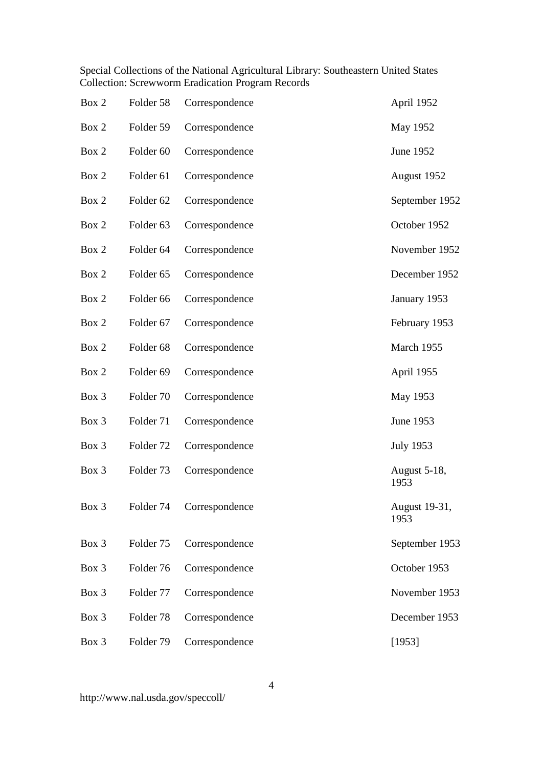| Box 2 | Folder 58            | Correspondence | April 1952            |
|-------|----------------------|----------------|-----------------------|
| Box 2 | Folder 59            | Correspondence | May 1952              |
| Box 2 | Folder <sub>60</sub> | Correspondence | June 1952             |
| Box 2 | Folder 61            | Correspondence | August 1952           |
| Box 2 | Folder <sub>62</sub> | Correspondence | September 1952        |
| Box 2 | Folder <sub>63</sub> | Correspondence | October 1952          |
| Box 2 | Folder <sub>64</sub> | Correspondence | November 1952         |
| Box 2 | Folder <sub>65</sub> | Correspondence | December 1952         |
| Box 2 | Folder <sub>66</sub> | Correspondence | January 1953          |
| Box 2 | Folder 67            | Correspondence | February 1953         |
| Box 2 | Folder <sub>68</sub> | Correspondence | March 1955            |
| Box 2 | Folder <sub>69</sub> | Correspondence | April 1955            |
| Box 3 | Folder 70            | Correspondence | May 1953              |
| Box 3 | Folder 71            | Correspondence | June 1953             |
| Box 3 | Folder <sub>72</sub> | Correspondence | <b>July 1953</b>      |
| Box 3 | Folder <sub>73</sub> | Correspondence | August 5-18,<br>1953  |
| Box 3 | Folder 74            | Correspondence | August 19-31,<br>1953 |
| Box 3 | Folder 75            | Correspondence | September 1953        |
| Box 3 | Folder 76            | Correspondence | October 1953          |
| Box 3 | Folder 77            | Correspondence | November 1953         |
| Box 3 | Folder <sub>78</sub> | Correspondence | December 1953         |
| Box 3 | Folder 79            | Correspondence | [1953]                |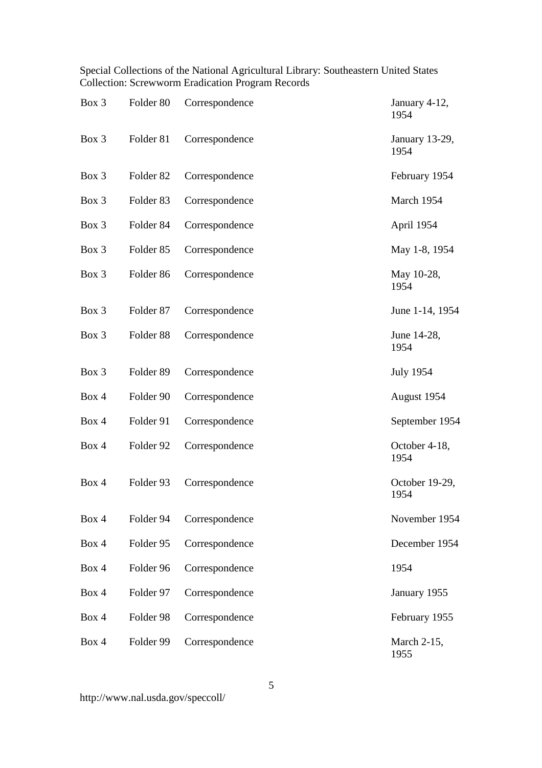| Box 3 | Folder <sub>80</sub> | Correspondence | January 4-12,<br>1954  |
|-------|----------------------|----------------|------------------------|
| Box 3 | Folder 81            | Correspondence | January 13-29,<br>1954 |
| Box 3 | Folder <sub>82</sub> | Correspondence | February 1954          |
| Box 3 | Folder 83            | Correspondence | March 1954             |
| Box 3 | Folder <sub>84</sub> | Correspondence | April 1954             |
| Box 3 | Folder <sub>85</sub> | Correspondence | May 1-8, 1954          |
| Box 3 | Folder <sub>86</sub> | Correspondence | May 10-28,<br>1954     |
| Box 3 | Folder 87            | Correspondence | June 1-14, 1954        |
| Box 3 | Folder <sub>88</sub> | Correspondence | June 14-28,<br>1954    |
| Box 3 | Folder <sub>89</sub> | Correspondence | <b>July 1954</b>       |
| Box 4 | Folder 90            | Correspondence | August 1954            |
| Box 4 | Folder 91            | Correspondence | September 1954         |
| Box 4 | Folder 92            | Correspondence | October 4-18,<br>1954  |
| Box 4 | Folder 93            | Correspondence | October 19-29,<br>1954 |
| Box 4 | Folder 94            | Correspondence | November 1954          |
| Box 4 | Folder 95            | Correspondence | December 1954          |
| Box 4 | Folder 96            | Correspondence | 1954                   |
| Box 4 | Folder 97            | Correspondence | January 1955           |
| Box 4 | Folder 98            | Correspondence | February 1955          |
| Box 4 | Folder 99            | Correspondence | March 2-15,<br>1955    |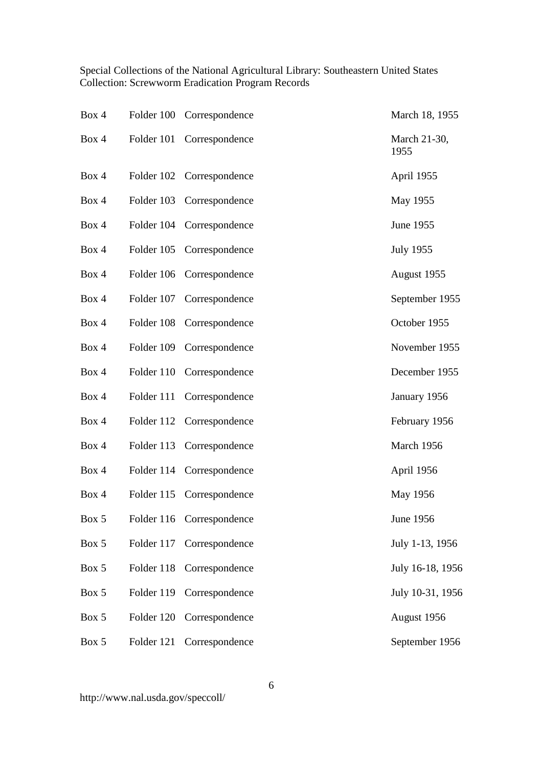| Box 4 |            | Folder 100 Correspondence | March 18, 1955       |
|-------|------------|---------------------------|----------------------|
| Box 4 |            | Folder 101 Correspondence | March 21-30,<br>1955 |
| Box 4 |            | Folder 102 Correspondence | April 1955           |
| Box 4 |            | Folder 103 Correspondence | May 1955             |
| Box 4 |            | Folder 104 Correspondence | June 1955            |
| Box 4 | Folder 105 | Correspondence            | <b>July 1955</b>     |
| Box 4 |            | Folder 106 Correspondence | August 1955          |
| Box 4 | Folder 107 | Correspondence            | September 1955       |
| Box 4 | Folder 108 | Correspondence            | October 1955         |
| Box 4 | Folder 109 | Correspondence            | November 1955        |
| Box 4 | Folder 110 | Correspondence            | December 1955        |
| Box 4 | Folder 111 | Correspondence            | January 1956         |
| Box 4 | Folder 112 | Correspondence            | February 1956        |
| Box 4 | Folder 113 | Correspondence            | March 1956           |
| Box 4 | Folder 114 | Correspondence            | April 1956           |
| Box 4 |            | Folder 115 Correspondence | May 1956             |
| Box 5 |            | Folder 116 Correspondence | June 1956            |
| Box 5 | Folder 117 | Correspondence            | July 1-13, 1956      |
| Box 5 | Folder 118 | Correspondence            | July 16-18, 1956     |
| Box 5 | Folder 119 | Correspondence            | July 10-31, 1956     |
| Box 5 | Folder 120 | Correspondence            | August 1956          |
| Box 5 | Folder 121 | Correspondence            | September 1956       |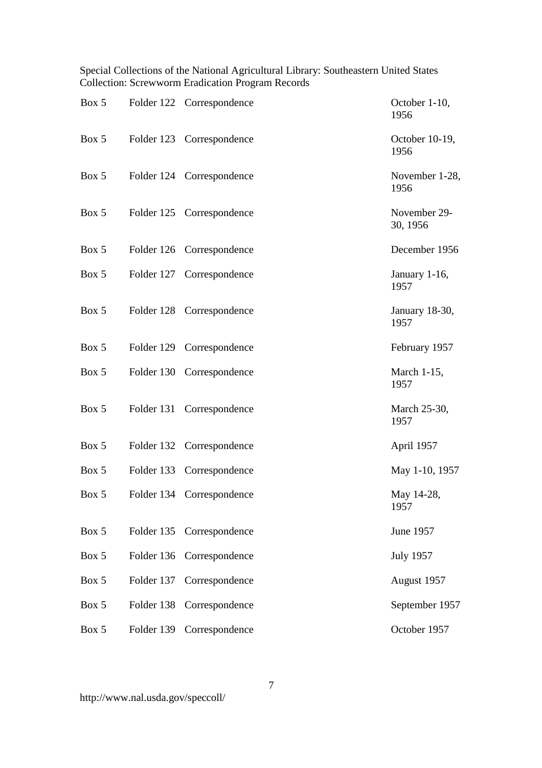| Box 5 |            | Folder 122 Correspondence | October 1-10,<br>1956    |
|-------|------------|---------------------------|--------------------------|
| Box 5 |            | Folder 123 Correspondence | October 10-19,<br>1956   |
| Box 5 |            | Folder 124 Correspondence | November 1-28,<br>1956   |
| Box 5 |            | Folder 125 Correspondence | November 29-<br>30, 1956 |
| Box 5 |            | Folder 126 Correspondence | December 1956            |
| Box 5 |            | Folder 127 Correspondence | January 1-16,<br>1957    |
| Box 5 |            | Folder 128 Correspondence | January 18-30,<br>1957   |
| Box 5 |            | Folder 129 Correspondence | February 1957            |
| Box 5 |            | Folder 130 Correspondence | March 1-15,<br>1957      |
| Box 5 |            | Folder 131 Correspondence | March 25-30,<br>1957     |
| Box 5 |            | Folder 132 Correspondence | April 1957               |
| Box 5 | Folder 133 | Correspondence            | May 1-10, 1957           |
| Box 5 |            | Folder 134 Correspondence | May 14-28,<br>1957       |
| Box 5 | Folder 135 | Correspondence            | June 1957                |
| Box 5 | Folder 136 | Correspondence            | <b>July 1957</b>         |
| Box 5 | Folder 137 | Correspondence            | August 1957              |
| Box 5 | Folder 138 | Correspondence            | September 1957           |
| Box 5 | Folder 139 | Correspondence            | October 1957             |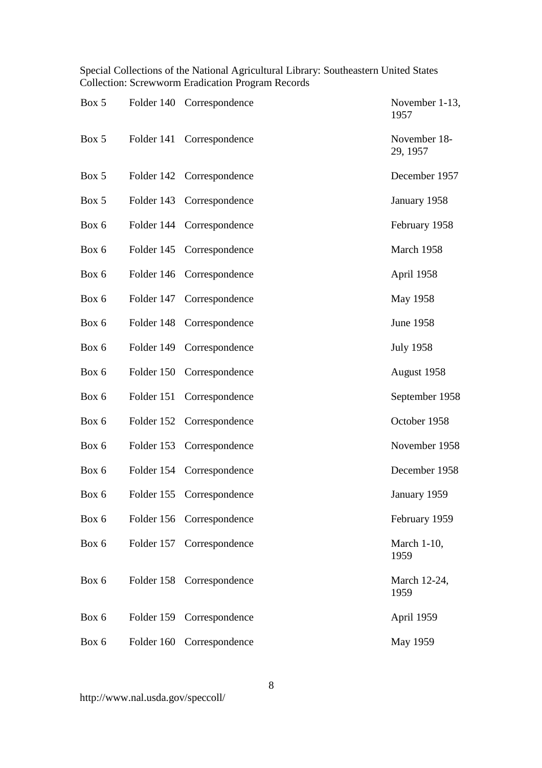| Box 5 |            | Folder 140 Correspondence | November 1-13,<br>1957   |
|-------|------------|---------------------------|--------------------------|
| Box 5 | Folder 141 | Correspondence            | November 18-<br>29, 1957 |
| Box 5 |            | Folder 142 Correspondence | December 1957            |
| Box 5 |            | Folder 143 Correspondence | January 1958             |
| Box 6 |            | Folder 144 Correspondence | February 1958            |
| Box 6 | Folder 145 | Correspondence            | March 1958               |
| Box 6 | Folder 146 | Correspondence            | April 1958               |
| Box 6 | Folder 147 | Correspondence            | May 1958                 |
| Box 6 | Folder 148 | Correspondence            | June 1958                |
| Box 6 | Folder 149 | Correspondence            | <b>July 1958</b>         |
| Box 6 | Folder 150 | Correspondence            | August 1958              |
| Box 6 | Folder 151 | Correspondence            | September 1958           |
| Box 6 | Folder 152 | Correspondence            | October 1958             |
| Box 6 | Folder 153 | Correspondence            | November 1958            |
| Box 6 | Folder 154 | Correspondence            | December 1958            |
| Box 6 |            | Folder 155 Correspondence | January 1959             |
| Box 6 |            | Folder 156 Correspondence | February 1959            |
| Box 6 | Folder 157 | Correspondence            | March 1-10,<br>1959      |
| Box 6 |            | Folder 158 Correspondence | March 12-24,<br>1959     |
| Box 6 |            | Folder 159 Correspondence | April 1959               |
| Box 6 | Folder 160 | Correspondence            | May 1959                 |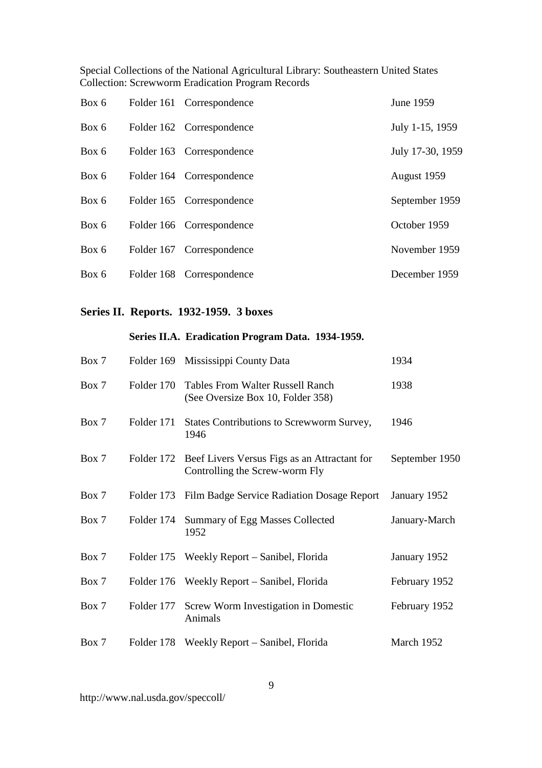| Box 6 | Folder 161 Correspondence | June 1959        |
|-------|---------------------------|------------------|
| Box 6 | Folder 162 Correspondence | July 1-15, 1959  |
| Box 6 | Folder 163 Correspondence | July 17-30, 1959 |
| Box 6 | Folder 164 Correspondence | August 1959      |
| Box 6 | Folder 165 Correspondence | September 1959   |
| Box 6 | Folder 166 Correspondence | October 1959     |
| Box 6 | Folder 167 Correspondence | November 1959    |
| Box 6 | Folder 168 Correspondence | December 1959    |

# **Series II. Reports. 1932-1959. 3 boxes**

### **Series II.A. Eradication Program Data. 1934-1959.**

| Box 7 |            | Folder 169 Mississippi County Data                                                        | 1934           |
|-------|------------|-------------------------------------------------------------------------------------------|----------------|
| Box 7 | Folder 170 | <b>Tables From Walter Russell Ranch</b><br>(See Oversize Box 10, Folder 358)              | 1938           |
| Box 7 | Folder 171 | States Contributions to Screwworm Survey,<br>1946                                         | 1946           |
| Box 7 |            | Folder 172 Beef Livers Versus Figs as an Attractant for<br>Controlling the Screw-worm Fly | September 1950 |
| Box 7 | Folder 173 | Film Badge Service Radiation Dosage Report                                                | January 1952   |
| Box 7 | Folder 174 | Summary of Egg Masses Collected<br>1952                                                   | January-March  |
| Box 7 | Folder 175 | Weekly Report – Sanibel, Florida                                                          | January 1952   |
| Box 7 |            | Folder 176 Weekly Report – Sanibel, Florida                                               | February 1952  |
| Box 7 | Folder 177 | Screw Worm Investigation in Domestic<br>Animals                                           | February 1952  |
| Box 7 |            | Folder 178 Weekly Report – Sanibel, Florida                                               | March 1952     |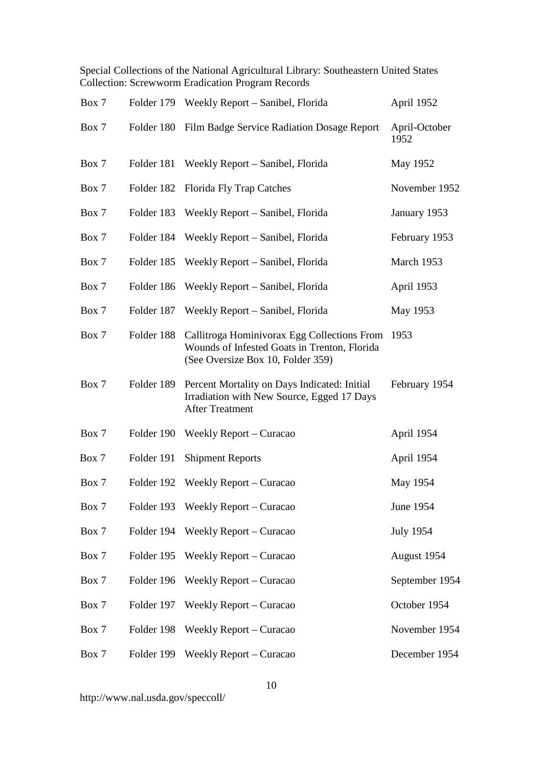| Box 7 |            | Folder 179 Weekly Report - Sanibel, Florida                                                                                           | April 1952            |
|-------|------------|---------------------------------------------------------------------------------------------------------------------------------------|-----------------------|
| Box 7 |            | Folder 180 Film Badge Service Radiation Dosage Report                                                                                 | April-October<br>1952 |
| Box 7 | Folder 181 | Weekly Report – Sanibel, Florida                                                                                                      | May 1952              |
| Box 7 | Folder 182 | <b>Florida Fly Trap Catches</b>                                                                                                       | November 1952         |
| Box 7 | Folder 183 | Weekly Report – Sanibel, Florida                                                                                                      | January 1953          |
| Box 7 | Folder 184 | Weekly Report – Sanibel, Florida                                                                                                      | February 1953         |
| Box 7 | Folder 185 | Weekly Report – Sanibel, Florida                                                                                                      | March 1953            |
| Box 7 | Folder 186 | Weekly Report – Sanibel, Florida                                                                                                      | April 1953            |
| Box 7 | Folder 187 | Weekly Report – Sanibel, Florida                                                                                                      | May 1953              |
| Box 7 | Folder 188 | Callitroga Hominivorax Egg Collections From 1953<br>Wounds of Infested Goats in Trenton, Florida<br>(See Oversize Box 10, Folder 359) |                       |
| Box 7 | Folder 189 | Percent Mortality on Days Indicated: Initial<br>Irradiation with New Source, Egged 17 Days<br><b>After Treatment</b>                  | February 1954         |
| Box 7 | Folder 190 | Weekly Report – Curacao                                                                                                               | April 1954            |
| Box 7 | Folder 191 | <b>Shipment Reports</b>                                                                                                               | April 1954            |
| Box 7 |            | Folder 192 Weekly Report – Curacao                                                                                                    | May 1954              |
| Box 7 |            | Folder 193 Weekly Report - Curacao                                                                                                    | June 1954             |
| Box 7 |            | Folder 194 Weekly Report – Curacao                                                                                                    | <b>July 1954</b>      |
| Box 7 | Folder 195 | Weekly Report – Curacao                                                                                                               | August 1954           |
| Box 7 | Folder 196 | Weekly Report – Curacao                                                                                                               | September 1954        |
| Box 7 | Folder 197 | Weekly Report – Curacao                                                                                                               | October 1954          |
| Box 7 | Folder 198 | Weekly Report – Curacao                                                                                                               | November 1954         |
| Box 7 | Folder 199 | Weekly Report – Curacao                                                                                                               | December 1954         |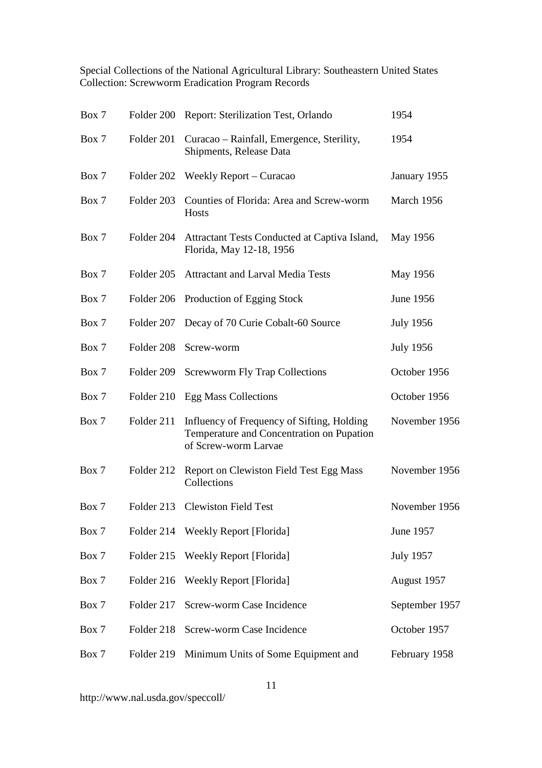| Box 7 |            | Folder 200 Report: Sterilization Test, Orlando                                                                  | 1954             |
|-------|------------|-----------------------------------------------------------------------------------------------------------------|------------------|
| Box 7 | Folder 201 | Curacao – Rainfall, Emergence, Sterility,<br>Shipments, Release Data                                            | 1954             |
| Box 7 | Folder 202 | Weekly Report – Curacao                                                                                         | January 1955     |
| Box 7 | Folder 203 | Counties of Florida: Area and Screw-worm<br>Hosts                                                               | March 1956       |
| Box 7 | Folder 204 | Attractant Tests Conducted at Captiva Island,<br>Florida, May 12-18, 1956                                       | May 1956         |
| Box 7 | Folder 205 | <b>Attractant and Larval Media Tests</b>                                                                        | May 1956         |
| Box 7 | Folder 206 | Production of Egging Stock                                                                                      | June 1956        |
| Box 7 | Folder 207 | Decay of 70 Curie Cobalt-60 Source                                                                              | <b>July 1956</b> |
| Box 7 | Folder 208 | Screw-worm                                                                                                      | <b>July 1956</b> |
| Box 7 | Folder 209 | <b>Screwworm Fly Trap Collections</b>                                                                           | October 1956     |
| Box 7 | Folder 210 | <b>Egg Mass Collections</b>                                                                                     | October 1956     |
| Box 7 | Folder 211 | Influency of Frequency of Sifting, Holding<br>Temperature and Concentration on Pupation<br>of Screw-worm Larvae | November 1956    |
| Box 7 | Folder 212 | Report on Clewiston Field Test Egg Mass<br>Collections                                                          | November 1956    |
| Box 7 |            | Folder 213 Clewiston Field Test                                                                                 | November 1956    |
| Box 7 |            | Folder 214 Weekly Report [Florida]                                                                              | June 1957        |
| Box 7 | Folder 215 | <b>Weekly Report [Florida]</b>                                                                                  | <b>July 1957</b> |
| Box 7 | Folder 216 | <b>Weekly Report [Florida]</b>                                                                                  | August 1957      |
| Box 7 | Folder 217 | Screw-worm Case Incidence                                                                                       | September 1957   |
| Box 7 | Folder 218 | Screw-worm Case Incidence                                                                                       | October 1957     |
| Box 7 | Folder 219 | Minimum Units of Some Equipment and                                                                             | February 1958    |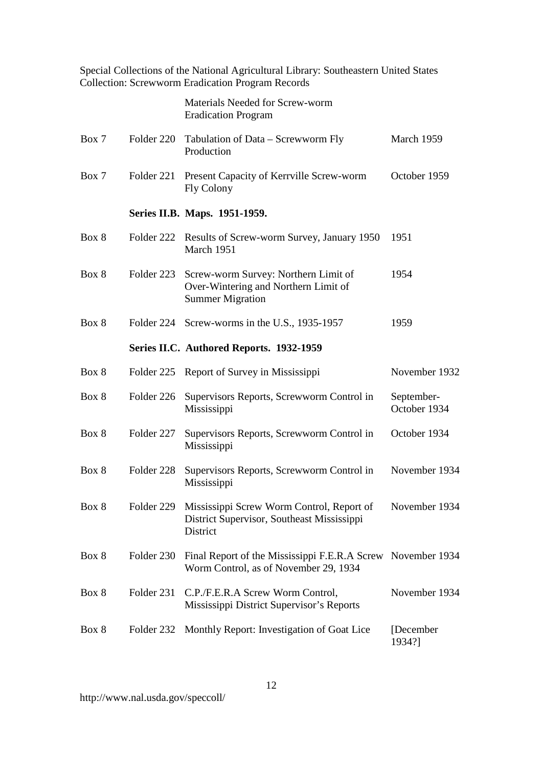|       |            | Special Collections of the National Agricultural Library: Southeastern United States<br><b>Collection: Screwworm Eradication Program Records</b> |                            |
|-------|------------|--------------------------------------------------------------------------------------------------------------------------------------------------|----------------------------|
|       |            | Materials Needed for Screw-worm<br><b>Eradication Program</b>                                                                                    |                            |
| Box 7 | Folder 220 | Tabulation of Data – Screwworm Fly<br>Production                                                                                                 | March 1959                 |
| Box 7 | Folder 221 | Present Capacity of Kerrville Screw-worm<br><b>Fly Colony</b>                                                                                    | October 1959               |
|       |            | Series II.B. Maps. 1951-1959.                                                                                                                    |                            |
| Box 8 | Folder 222 | Results of Screw-worm Survey, January 1950<br>March 1951                                                                                         | 1951                       |
| Box 8 | Folder 223 | Screw-worm Survey: Northern Limit of<br>Over-Wintering and Northern Limit of<br><b>Summer Migration</b>                                          | 1954                       |
| Box 8 |            | Folder 224 Screw-worms in the U.S., 1935-1957                                                                                                    | 1959                       |
|       |            | Series II.C. Authored Reports. 1932-1959                                                                                                         |                            |
| Box 8 |            | Folder 225 Report of Survey in Mississippi                                                                                                       | November 1932              |
| Box 8 | Folder 226 | Supervisors Reports, Screwworm Control in<br>Mississippi                                                                                         | September-<br>October 1934 |
| Box 8 | Folder 227 | Supervisors Reports, Screwworm Control in<br>Mississippi                                                                                         | October 1934               |
| Box 8 | Folder 228 | Supervisors Reports, Screwworm Control in<br>Mississippi                                                                                         | November 1934              |
| Box 8 | Folder 229 | Mississippi Screw Worm Control, Report of<br>District Supervisor, Southeast Mississippi<br>District                                              | November 1934              |
| Box 8 | Folder 230 | Final Report of the Mississippi F.E.R.A Screw November 1934<br>Worm Control, as of November 29, 1934                                             |                            |
| Box 8 | Folder 231 | C.P./F.E.R.A Screw Worm Control,<br>Mississippi District Supervisor's Reports                                                                    | November 1934              |
| Box 8 | Folder 232 | Monthly Report: Investigation of Goat Lice                                                                                                       | [December]<br>1934?]       |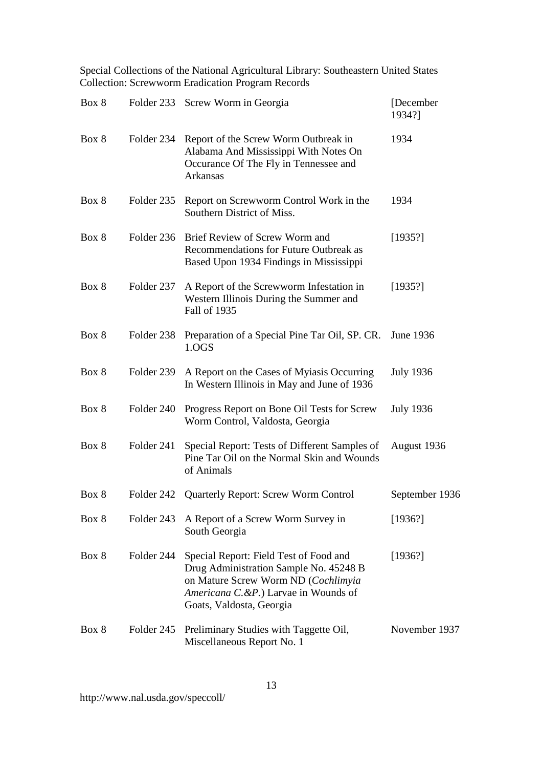| Box 8 |            | Folder 233 Screw Worm in Georgia                                                                                                                                                            | [December<br>1934?] |
|-------|------------|---------------------------------------------------------------------------------------------------------------------------------------------------------------------------------------------|---------------------|
| Box 8 | Folder 234 | Report of the Screw Worm Outbreak in<br>Alabama And Mississippi With Notes On<br>Occurance Of The Fly in Tennessee and<br>Arkansas                                                          | 1934                |
| Box 8 | Folder 235 | Report on Screwworm Control Work in the<br>Southern District of Miss.                                                                                                                       | 1934                |
| Box 8 | Folder 236 | Brief Review of Screw Worm and<br>Recommendations for Future Outbreak as<br>Based Upon 1934 Findings in Mississippi                                                                         | [1935!]             |
| Box 8 | Folder 237 | A Report of the Screwworm Infestation in<br>Western Illinois During the Summer and<br>Fall of 1935                                                                                          | [1935!]             |
| Box 8 | Folder 238 | Preparation of a Special Pine Tar Oil, SP. CR.<br>1.0GS                                                                                                                                     | June 1936           |
| Box 8 | Folder 239 | A Report on the Cases of Myiasis Occurring<br>In Western Illinois in May and June of 1936                                                                                                   | <b>July 1936</b>    |
| Box 8 | Folder 240 | Progress Report on Bone Oil Tests for Screw<br>Worm Control, Valdosta, Georgia                                                                                                              | <b>July 1936</b>    |
| Box 8 | Folder 241 | Special Report: Tests of Different Samples of<br>Pine Tar Oil on the Normal Skin and Wounds<br>of Animals                                                                                   | August 1936         |
| Box 8 |            | Folder 242 Quarterly Report: Screw Worm Control                                                                                                                                             | September 1936      |
| Box 8 | Folder 243 | A Report of a Screw Worm Survey in<br>South Georgia                                                                                                                                         | [1936!]             |
| Box 8 | Folder 244 | Special Report: Field Test of Food and<br>Drug Administration Sample No. 45248 B<br>on Mature Screw Worm ND (Cochlimyia<br>Americana C.&P.) Larvae in Wounds of<br>Goats, Valdosta, Georgia | [1936!]             |
| Box 8 | Folder 245 | Preliminary Studies with Taggette Oil,<br>Miscellaneous Report No. 1                                                                                                                        | November 1937       |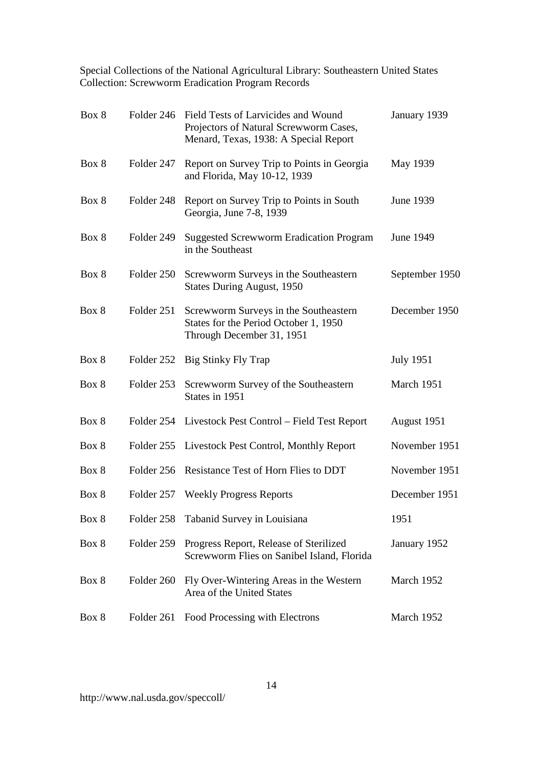| Box 8 | Folder 246 | Field Tests of Larvicides and Wound<br>Projectors of Natural Screwworm Cases,<br>Menard, Texas, 1938: A Special Report | January 1939     |
|-------|------------|------------------------------------------------------------------------------------------------------------------------|------------------|
| Box 8 | Folder 247 | Report on Survey Trip to Points in Georgia<br>and Florida, May 10-12, 1939                                             | May 1939         |
| Box 8 | Folder 248 | Report on Survey Trip to Points in South<br>Georgia, June 7-8, 1939                                                    | June 1939        |
| Box 8 | Folder 249 | <b>Suggested Screwworm Eradication Program</b><br>in the Southeast                                                     | June 1949        |
| Box 8 | Folder 250 | Screwworm Surveys in the Southeastern<br><b>States During August, 1950</b>                                             | September 1950   |
| Box 8 | Folder 251 | Screwworm Surveys in the Southeastern<br>States for the Period October 1, 1950<br>Through December 31, 1951            | December 1950    |
| Box 8 | Folder 252 | Big Stinky Fly Trap                                                                                                    | <b>July 1951</b> |
| Box 8 | Folder 253 | Screwworm Survey of the Southeastern<br>States in 1951                                                                 | March 1951       |
| Box 8 |            | Folder 254 Livestock Pest Control – Field Test Report                                                                  | August 1951      |
| Box 8 | Folder 255 | Livestock Pest Control, Monthly Report                                                                                 | November 1951    |
| Box 8 | Folder 256 | Resistance Test of Horn Flies to DDT                                                                                   | November 1951    |
| Box 8 | Folder 257 | <b>Weekly Progress Reports</b>                                                                                         | December 1951    |
| Box 8 | Folder 258 | Tabanid Survey in Louisiana                                                                                            | 1951             |
| Box 8 | Folder 259 | Progress Report, Release of Sterilized<br>Screwworm Flies on Sanibel Island, Florida                                   | January 1952     |
| Box 8 | Folder 260 | Fly Over-Wintering Areas in the Western<br>Area of the United States                                                   | March 1952       |
| Box 8 | Folder 261 | Food Processing with Electrons                                                                                         | March 1952       |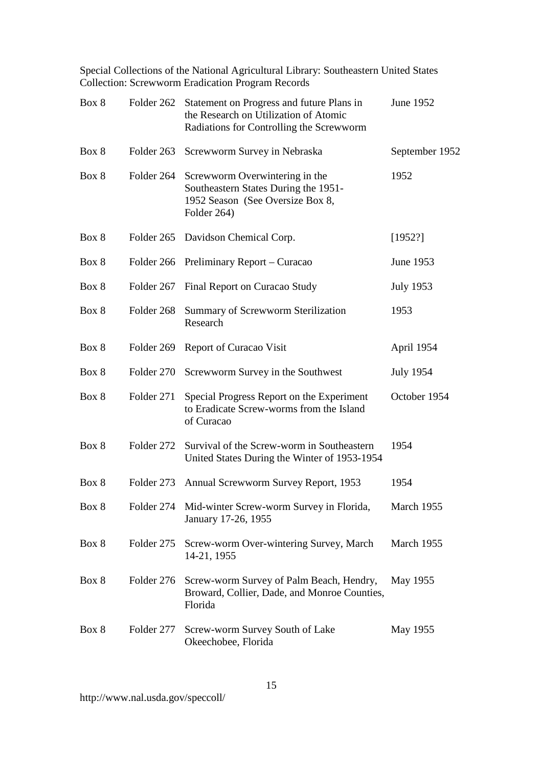| Box 8 | Folder 262 | Statement on Progress and future Plans in<br>the Research on Utilization of Atomic<br>Radiations for Controlling the Screwworm | June 1952        |
|-------|------------|--------------------------------------------------------------------------------------------------------------------------------|------------------|
| Box 8 | Folder 263 | Screwworm Survey in Nebraska                                                                                                   | September 1952   |
| Box 8 | Folder 264 | Screwworm Overwintering in the<br>Southeastern States During the 1951-<br>1952 Season (See Oversize Box 8,<br>Folder 264)      | 1952             |
| Box 8 |            | Folder 265 Davidson Chemical Corp.                                                                                             | [1952?]          |
| Box 8 | Folder 266 | Preliminary Report – Curacao                                                                                                   | June 1953        |
| Box 8 | Folder 267 | Final Report on Curacao Study                                                                                                  | <b>July 1953</b> |
| Box 8 | Folder 268 | Summary of Screwworm Sterilization<br>Research                                                                                 | 1953             |
| Box 8 | Folder 269 | Report of Curacao Visit                                                                                                        | April 1954       |
| Box 8 | Folder 270 | Screwworm Survey in the Southwest                                                                                              | <b>July 1954</b> |
| Box 8 | Folder 271 | Special Progress Report on the Experiment<br>to Eradicate Screw-worms from the Island<br>of Curacao                            | October 1954     |
| Box 8 | Folder 272 | Survival of the Screw-worm in Southeastern<br>United States During the Winter of 1953-1954                                     | 1954             |
| Box 8 | Folder 273 | Annual Screwworm Survey Report, 1953                                                                                           | 1954             |
| Box 8 |            | Folder 274 Mid-winter Screw-worm Survey in Florida,<br>January 17-26, 1955                                                     | March 1955       |
| Box 8 | Folder 275 | Screw-worm Over-wintering Survey, March<br>14-21, 1955                                                                         | March 1955       |
| Box 8 | Folder 276 | Screw-worm Survey of Palm Beach, Hendry,<br>Broward, Collier, Dade, and Monroe Counties,<br>Florida                            | May 1955         |
| Box 8 | Folder 277 | Screw-worm Survey South of Lake<br>Okeechobee, Florida                                                                         | May 1955         |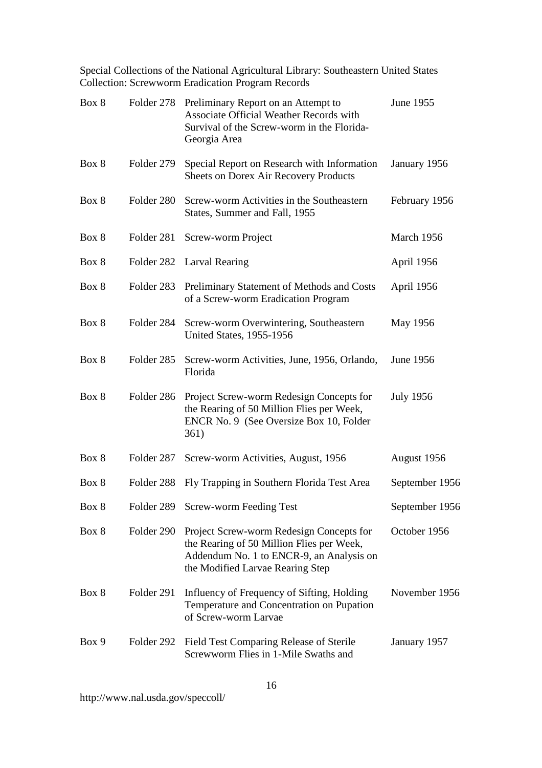| Box 8 | Folder 278 | Preliminary Report on an Attempt to<br>Associate Official Weather Records with<br>Survival of the Screw-worm in the Florida-<br>Georgia Area                          | June 1955        |
|-------|------------|-----------------------------------------------------------------------------------------------------------------------------------------------------------------------|------------------|
| Box 8 | Folder 279 | Special Report on Research with Information<br><b>Sheets on Dorex Air Recovery Products</b>                                                                           | January 1956     |
| Box 8 | Folder 280 | Screw-worm Activities in the Southeastern<br>States, Summer and Fall, 1955                                                                                            | February 1956    |
| Box 8 | Folder 281 | Screw-worm Project                                                                                                                                                    | March 1956       |
| Box 8 | Folder 282 | <b>Larval Rearing</b>                                                                                                                                                 | April 1956       |
| Box 8 | Folder 283 | Preliminary Statement of Methods and Costs<br>of a Screw-worm Eradication Program                                                                                     | April 1956       |
| Box 8 | Folder 284 | Screw-worm Overwintering, Southeastern<br><b>United States, 1955-1956</b>                                                                                             | May 1956         |
| Box 8 | Folder 285 | Screw-worm Activities, June, 1956, Orlando,<br>Florida                                                                                                                | June 1956        |
| Box 8 | Folder 286 | Project Screw-worm Redesign Concepts for<br>the Rearing of 50 Million Flies per Week,<br>ENCR No. 9 (See Oversize Box 10, Folder<br>361)                              | <b>July 1956</b> |
| Box 8 | Folder 287 | Screw-worm Activities, August, 1956                                                                                                                                   | August 1956      |
| Box 8 | Folder 288 | Fly Trapping in Southern Florida Test Area                                                                                                                            | September 1956   |
| Box 8 | Folder 289 | <b>Screw-worm Feeding Test</b>                                                                                                                                        | September 1956   |
| Box 8 | Folder 290 | Project Screw-worm Redesign Concepts for<br>the Rearing of 50 Million Flies per Week,<br>Addendum No. 1 to ENCR-9, an Analysis on<br>the Modified Larvae Rearing Step | October 1956     |
| Box 8 | Folder 291 | Influency of Frequency of Sifting, Holding<br>Temperature and Concentration on Pupation<br>of Screw-worm Larvae                                                       | November 1956    |
| Box 9 | Folder 292 | Field Test Comparing Release of Sterile<br>Screwworm Flies in 1-Mile Swaths and                                                                                       | January 1957     |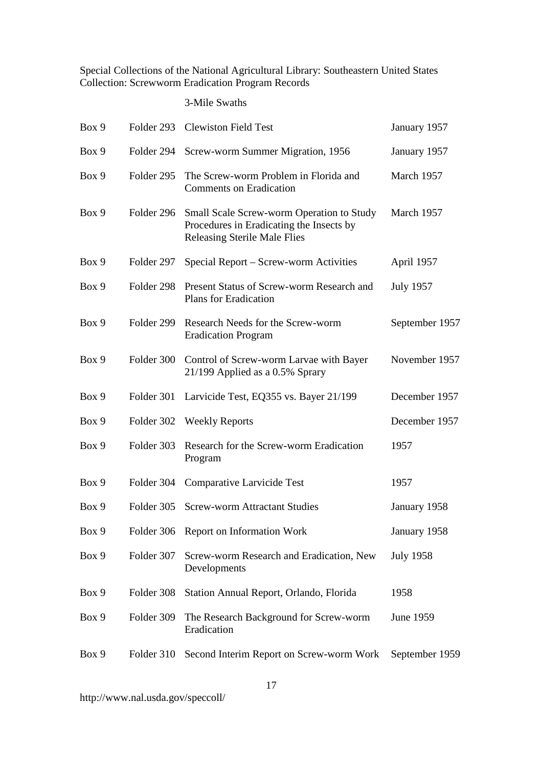#### 3-Mile Swaths

| Box 9 | Folder 293 | <b>Clewiston Field Test</b>                                                                                                  | January 1957     |
|-------|------------|------------------------------------------------------------------------------------------------------------------------------|------------------|
| Box 9 | Folder 294 | Screw-worm Summer Migration, 1956                                                                                            | January 1957     |
| Box 9 | Folder 295 | The Screw-worm Problem in Florida and<br><b>Comments on Eradication</b>                                                      | March 1957       |
| Box 9 | Folder 296 | Small Scale Screw-worm Operation to Study<br>Procedures in Eradicating the Insects by<br><b>Releasing Sterile Male Flies</b> | March 1957       |
| Box 9 | Folder 297 | Special Report – Screw-worm Activities                                                                                       | April 1957       |
| Box 9 | Folder 298 | Present Status of Screw-worm Research and<br><b>Plans for Eradication</b>                                                    | <b>July 1957</b> |
| Box 9 | Folder 299 | Research Needs for the Screw-worm<br><b>Eradication Program</b>                                                              | September 1957   |
| Box 9 | Folder 300 | Control of Screw-worm Larvae with Bayer<br>21/199 Applied as a 0.5% Sprary                                                   | November 1957    |
| Box 9 | Folder 301 | Larvicide Test, EQ355 vs. Bayer 21/199                                                                                       | December 1957    |
| Box 9 | Folder 302 | <b>Weekly Reports</b>                                                                                                        | December 1957    |
| Box 9 | Folder 303 | Research for the Screw-worm Eradication<br>Program                                                                           | 1957             |
| Box 9 | Folder 304 | Comparative Larvicide Test                                                                                                   | 1957             |
| Box 9 | Folder 305 | <b>Screw-worm Attractant Studies</b>                                                                                         | January 1958     |
| Box 9 |            | Folder 306 Report on Information Work                                                                                        | January 1958     |
| Box 9 | Folder 307 | Screw-worm Research and Eradication, New<br>Developments                                                                     | <b>July 1958</b> |
| Box 9 | Folder 308 | Station Annual Report, Orlando, Florida                                                                                      | 1958             |
| Box 9 | Folder 309 | The Research Background for Screw-worm<br>Eradication                                                                        | June 1959        |
| Box 9 | Folder 310 | Second Interim Report on Screw-worm Work                                                                                     | September 1959   |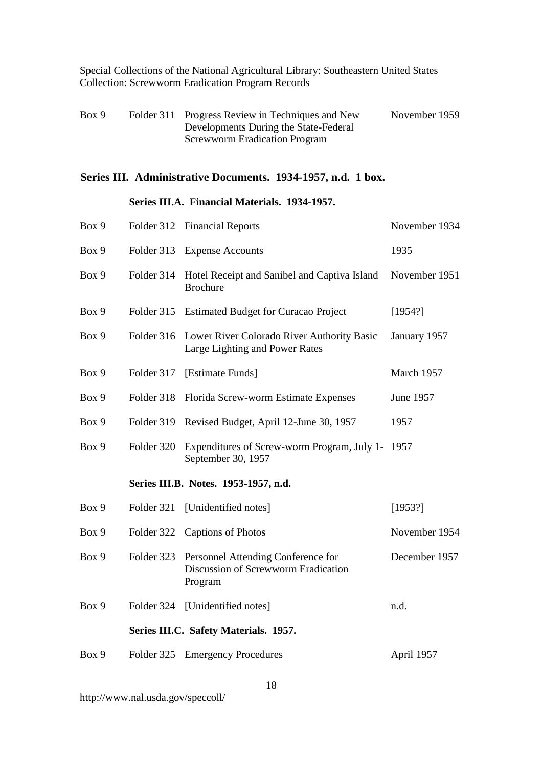| Box 9 | Folder 311 Progress Review in Techniques and New | November 1959 |
|-------|--------------------------------------------------|---------------|
|       | Developments During the State-Federal            |               |
|       | <b>Screwworm Eradication Program</b>             |               |

# **Series III. Administrative Documents. 1934-1957, n.d. 1 box.**

#### **Series III.A. Financial Materials. 1934-1957.**

| Box 9 | Folder 312 | <b>Financial Reports</b>                                                             | November 1934 |
|-------|------------|--------------------------------------------------------------------------------------|---------------|
| Box 9 | Folder 313 | <b>Expense Accounts</b>                                                              | 1935          |
| Box 9 | Folder 314 | Hotel Receipt and Sanibel and Captiva Island<br><b>Brochure</b>                      | November 1951 |
| Box 9 | Folder 315 | <b>Estimated Budget for Curacao Project</b>                                          | [1954?]       |
| Box 9 | Folder 316 | Lower River Colorado River Authority Basic<br>Large Lighting and Power Rates         | January 1957  |
| Box 9 | Folder 317 | [Estimate Funds]                                                                     | March 1957    |
| Box 9 | Folder 318 | Florida Screw-worm Estimate Expenses                                                 | June 1957     |
| Box 9 | Folder 319 | Revised Budget, April 12-June 30, 1957                                               | 1957          |
| Box 9 | Folder 320 | Expenditures of Screw-worm Program, July 1-<br>September 30, 1957                    | 1957          |
|       |            | Series III.B. Notes. 1953-1957, n.d.                                                 |               |
| Box 9 | Folder 321 | [Unidentified notes]                                                                 | [1953?]       |
| Box 9 | Folder 322 | <b>Captions of Photos</b>                                                            | November 1954 |
| Box 9 | Folder 323 | Personnel Attending Conference for<br>Discussion of Screwworm Eradication<br>Program | December 1957 |
| Box 9 | Folder 324 | [Unidentified notes]                                                                 | n.d.          |
|       |            | Series III.C. Safety Materials. 1957.                                                |               |
| Box 9 | Folder 325 | <b>Emergency Procedures</b>                                                          | April 1957    |
|       |            |                                                                                      |               |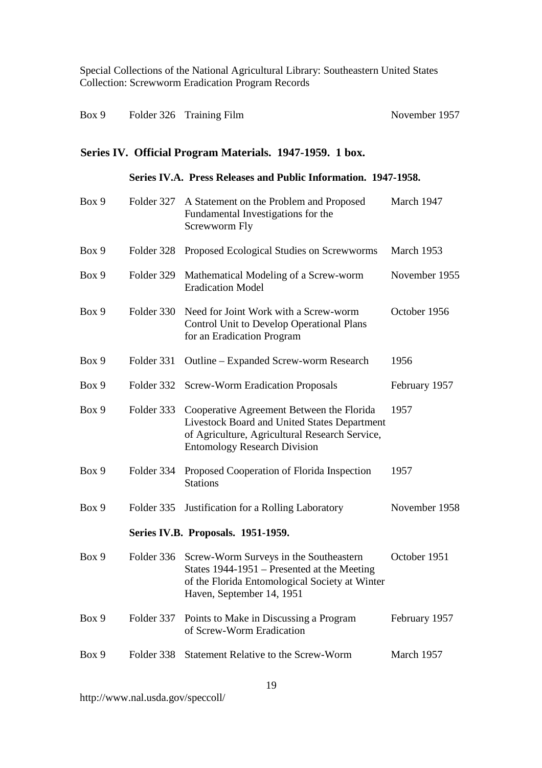| Box 9 |  | Folder 326 Training Film | November 1957 |
|-------|--|--------------------------|---------------|
|-------|--|--------------------------|---------------|

# **Series IV. Official Program Materials. 1947-1959. 1 box.**

#### **Series IV.A. Press Releases and Public Information. 1947-1958.**

| Box 9 | Folder 327 | A Statement on the Problem and Proposed<br>Fundamental Investigations for the<br>Screwworm Fly                                                                                     | March 1947    |
|-------|------------|------------------------------------------------------------------------------------------------------------------------------------------------------------------------------------|---------------|
| Box 9 | Folder 328 | Proposed Ecological Studies on Screwworms                                                                                                                                          | March 1953    |
| Box 9 | Folder 329 | Mathematical Modeling of a Screw-worm<br><b>Eradication Model</b>                                                                                                                  | November 1955 |
| Box 9 | Folder 330 | Need for Joint Work with a Screw-worm<br><b>Control Unit to Develop Operational Plans</b><br>for an Eradication Program                                                            | October 1956  |
| Box 9 | Folder 331 | Outline – Expanded Screw-worm Research                                                                                                                                             | 1956          |
| Box 9 | Folder 332 | <b>Screw-Worm Eradication Proposals</b>                                                                                                                                            | February 1957 |
| Box 9 | Folder 333 | Cooperative Agreement Between the Florida<br>Livestock Board and United States Department<br>of Agriculture, Agricultural Research Service,<br><b>Entomology Research Division</b> | 1957          |
| Box 9 | Folder 334 | Proposed Cooperation of Florida Inspection<br><b>Stations</b>                                                                                                                      | 1957          |
| Box 9 | Folder 335 | Justification for a Rolling Laboratory                                                                                                                                             | November 1958 |
|       |            | Series IV.B. Proposals. 1951-1959.                                                                                                                                                 |               |
| Box 9 | Folder 336 | Screw-Worm Surveys in the Southeastern<br>States 1944-1951 – Presented at the Meeting<br>of the Florida Entomological Society at Winter<br>Haven, September 14, 1951               | October 1951  |
| Box 9 | Folder 337 | Points to Make in Discussing a Program<br>of Screw-Worm Eradication                                                                                                                | February 1957 |
| Box 9 | Folder 338 | <b>Statement Relative to the Screw-Worm</b>                                                                                                                                        | March 1957    |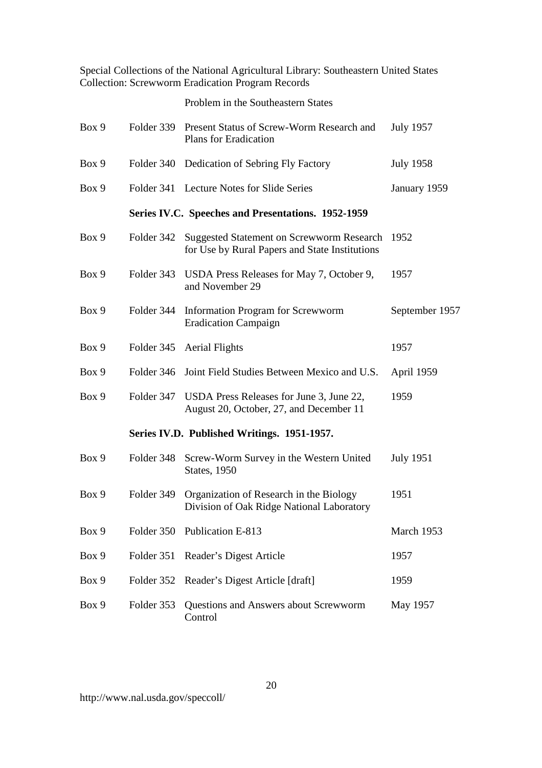Special Collections of the National Agricultural Library: Southeastern United States

|       |            | <b>Collection: Screwworm Eradication Program Records</b>                                           |                  |
|-------|------------|----------------------------------------------------------------------------------------------------|------------------|
|       |            | Problem in the Southeastern States                                                                 |                  |
| Box 9 | Folder 339 | Present Status of Screw-Worm Research and<br><b>Plans for Eradication</b>                          | <b>July 1957</b> |
| Box 9 | Folder 340 | Dedication of Sebring Fly Factory                                                                  | <b>July 1958</b> |
| Box 9 | Folder 341 | <b>Lecture Notes for Slide Series</b>                                                              | January 1959     |
|       |            | Series IV.C. Speeches and Presentations. 1952-1959                                                 |                  |
| Box 9 | Folder 342 | <b>Suggested Statement on Screwworm Research</b><br>for Use by Rural Papers and State Institutions | 1952             |
| Box 9 | Folder 343 | USDA Press Releases for May 7, October 9,<br>and November 29                                       | 1957             |
| Box 9 | Folder 344 | <b>Information Program for Screwworm</b><br><b>Eradication Campaign</b>                            | September 1957   |
| Box 9 | Folder 345 | <b>Aerial Flights</b>                                                                              | 1957             |
| Box 9 | Folder 346 | Joint Field Studies Between Mexico and U.S.                                                        | April 1959       |
| Box 9 | Folder 347 | USDA Press Releases for June 3, June 22,<br>August 20, October, 27, and December 11                | 1959             |
|       |            | Series IV.D. Published Writings. 1951-1957.                                                        |                  |
| Box 9 | Folder 348 | Screw-Worm Survey in the Western United<br><b>States</b> , 1950                                    | <b>July 1951</b> |
| Box 9 | Folder 349 | Organization of Research in the Biology<br>Division of Oak Ridge National Laboratory               | 1951             |
| Box 9 | Folder 350 | Publication E-813                                                                                  | March 1953       |

http://www.nal.usda.gov/speccoll/

Box 9 Folder 351 Reader's Digest Article 1957

Box 9 Folder 352 Reader's Digest Article [draft] 1959

Control

Box 9 Folder 353 Questions and Answers about Screwworm May 1957